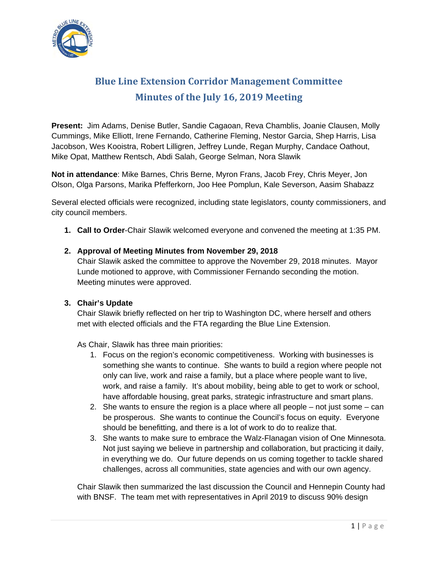

# **Blue Line Extension Corridor Management Committee Minutes of the July 16, 2019 Meeting**

**Present:** Jim Adams, Denise Butler, Sandie Cagaoan, Reva Chamblis, Joanie Clausen, Molly Cummings, Mike Elliott, Irene Fernando, Catherine Fleming, Nestor Garcia, Shep Harris, Lisa Jacobson, Wes Kooistra, Robert Lilligren, Jeffrey Lunde, Regan Murphy, Candace Oathout, Mike Opat, Matthew Rentsch, Abdi Salah, George Selman, Nora Slawik

**Not in attendance**: Mike Barnes, Chris Berne, Myron Frans, Jacob Frey, Chris Meyer, Jon Olson, Olga Parsons, Marika Pfefferkorn, Joo Hee Pomplun, Kale Severson, Aasim Shabazz

Several elected officials were recognized, including state legislators, county commissioners, and city council members.

**1. Call to Order**-Chair Slawik welcomed everyone and convened the meeting at 1:35 PM.

## **2. Approval of Meeting Minutes from November 29, 2018**

Chair Slawik asked the committee to approve the November 29, 2018 minutes. Mayor Lunde motioned to approve, with Commissioner Fernando seconding the motion. Meeting minutes were approved.

## **3. Chair's Update**

Chair Slawik briefly reflected on her trip to Washington DC, where herself and others met with elected officials and the FTA regarding the Blue Line Extension.

As Chair, Slawik has three main priorities:

- 1. Focus on the region's economic competitiveness. Working with businesses is something she wants to continue. She wants to build a region where people not only can live, work and raise a family, but a place where people want to live, work, and raise a family. It's about mobility, being able to get to work or school, have affordable housing, great parks, strategic infrastructure and smart plans.
- 2. She wants to ensure the region is a place where all people not just some can be prosperous. She wants to continue the Council's focus on equity. Everyone should be benefitting, and there is a lot of work to do to realize that.
- 3. She wants to make sure to embrace the Walz-Flanagan vision of One Minnesota. Not just saying we believe in partnership and collaboration, but practicing it daily, in everything we do. Our future depends on us coming together to tackle shared challenges, across all communities, state agencies and with our own agency.

Chair Slawik then summarized the last discussion the Council and Hennepin County had with BNSF. The team met with representatives in April 2019 to discuss 90% design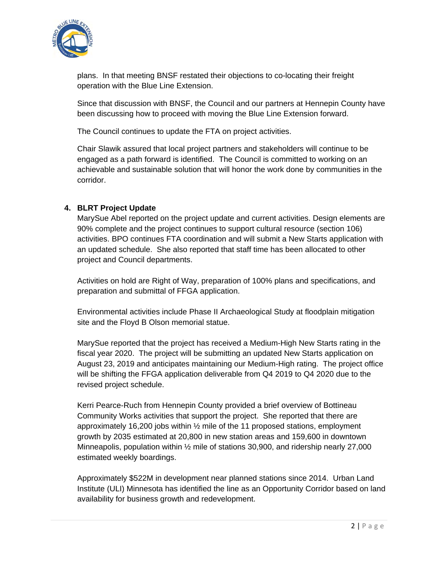

plans. In that meeting BNSF restated their objections to co-locating their freight operation with the Blue Line Extension.

Since that discussion with BNSF, the Council and our partners at Hennepin County have been discussing how to proceed with moving the Blue Line Extension forward.

The Council continues to update the FTA on project activities.

Chair Slawik assured that local project partners and stakeholders will continue to be engaged as a path forward is identified. The Council is committed to working on an achievable and sustainable solution that will honor the work done by communities in the corridor.

## **4. BLRT Project Update**

MarySue Abel reported on the project update and current activities. Design elements are 90% complete and the project continues to support cultural resource (section 106) activities. BPO continues FTA coordination and will submit a New Starts application with an updated schedule. She also reported that staff time has been allocated to other project and Council departments.

Activities on hold are Right of Way, preparation of 100% plans and specifications, and preparation and submittal of FFGA application.

Environmental activities include Phase II Archaeological Study at floodplain mitigation site and the Floyd B Olson memorial statue.

MarySue reported that the project has received a Medium-High New Starts rating in the fiscal year 2020. The project will be submitting an updated New Starts application on August 23, 2019 and anticipates maintaining our Medium-High rating. The project office will be shifting the FFGA application deliverable from Q4 2019 to Q4 2020 due to the revised project schedule.

Kerri Pearce-Ruch from Hennepin County provided a brief overview of Bottineau Community Works activities that support the project. She reported that there are approximately 16,200 jobs within ½ mile of the 11 proposed stations, employment growth by 2035 estimated at 20,800 in new station areas and 159,600 in downtown Minneapolis, population within ½ mile of stations 30,900, and ridership nearly 27,000 estimated weekly boardings.

Approximately \$522M in development near planned stations since 2014. Urban Land Institute (ULI) Minnesota has identified the line as an Opportunity Corridor based on land availability for business growth and redevelopment.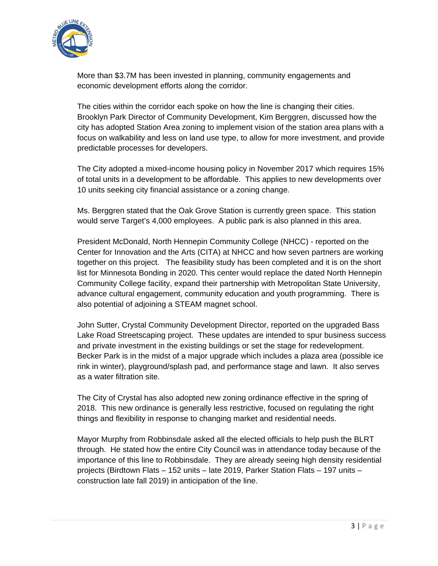

More than \$3.7M has been invested in planning, community engagements and economic development efforts along the corridor.

The cities within the corridor each spoke on how the line is changing their cities. Brooklyn Park Director of Community Development, Kim Berggren, discussed how the city has adopted Station Area zoning to implement vision of the station area plans with a focus on walkability and less on land use type, to allow for more investment, and provide predictable processes for developers.

The City adopted a mixed-income housing policy in November 2017 which requires 15% of total units in a development to be affordable. This applies to new developments over 10 units seeking city financial assistance or a zoning change.

Ms. Berggren stated that the Oak Grove Station is currently green space. This station would serve Target's 4,000 employees. A public park is also planned in this area.

President McDonald, North Hennepin Community College (NHCC) - reported on the Center for Innovation and the Arts (CITA) at NHCC and how seven partners are working together on this project. The feasibility study has been completed and it is on the short list for Minnesota Bonding in 2020. This center would replace the dated North Hennepin Community College facility, expand their partnership with Metropolitan State University, advance cultural engagement, community education and youth programming. There is also potential of adjoining a STEAM magnet school.

John Sutter, Crystal Community Development Director, reported on the upgraded Bass Lake Road Streetscaping project. These updates are intended to spur business success and private investment in the existing buildings or set the stage for redevelopment. Becker Park is in the midst of a major upgrade which includes a plaza area (possible ice rink in winter), playground/splash pad, and performance stage and lawn. It also serves as a water filtration site.

The City of Crystal has also adopted new zoning ordinance effective in the spring of 2018. This new ordinance is generally less restrictive, focused on regulating the right things and flexibility in response to changing market and residential needs.

Mayor Murphy from Robbinsdale asked all the elected officials to help push the BLRT through. He stated how the entire City Council was in attendance today because of the importance of this line to Robbinsdale. They are already seeing high density residential projects (Birdtown Flats – 152 units – late 2019, Parker Station Flats – 197 units – construction late fall 2019) in anticipation of the line.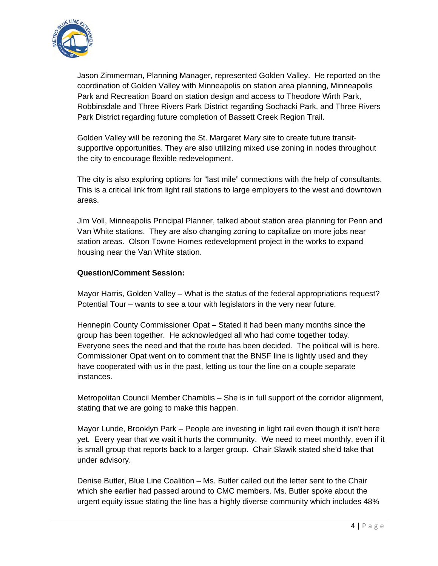

Jason Zimmerman, Planning Manager, represented Golden Valley. He reported on the coordination of Golden Valley with Minneapolis on station area planning, Minneapolis Park and Recreation Board on station design and access to Theodore Wirth Park, Robbinsdale and Three Rivers Park District regarding Sochacki Park, and Three Rivers Park District regarding future completion of Bassett Creek Region Trail.

Golden Valley will be rezoning the St. Margaret Mary site to create future transitsupportive opportunities. They are also utilizing mixed use zoning in nodes throughout the city to encourage flexible redevelopment.

The city is also exploring options for "last mile" connections with the help of consultants. This is a critical link from light rail stations to large employers to the west and downtown areas.

Jim Voll, Minneapolis Principal Planner, talked about station area planning for Penn and Van White stations. They are also changing zoning to capitalize on more jobs near station areas. Olson Towne Homes redevelopment project in the works to expand housing near the Van White station.

#### **Question/Comment Session:**

Mayor Harris, Golden Valley – What is the status of the federal appropriations request? Potential Tour – wants to see a tour with legislators in the very near future.

Hennepin County Commissioner Opat – Stated it had been many months since the group has been together. He acknowledged all who had come together today. Everyone sees the need and that the route has been decided. The political will is here. Commissioner Opat went on to comment that the BNSF line is lightly used and they have cooperated with us in the past, letting us tour the line on a couple separate instances.

Metropolitan Council Member Chamblis – She is in full support of the corridor alignment, stating that we are going to make this happen.

Mayor Lunde, Brooklyn Park – People are investing in light rail even though it isn't here yet. Every year that we wait it hurts the community. We need to meet monthly, even if it is small group that reports back to a larger group. Chair Slawik stated she'd take that under advisory.

Denise Butler, Blue Line Coalition – Ms. Butler called out the letter sent to the Chair which she earlier had passed around to CMC members. Ms. Butler spoke about the urgent equity issue stating the line has a highly diverse community which includes 48%